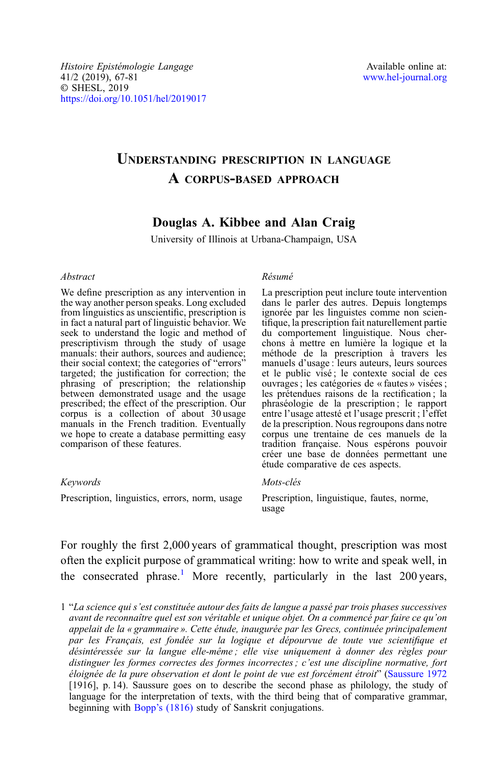# UNDERSTANDING PRESCRIPTION IN LANGUAGE A CORPUS-BASED APPROACH

## Douglas A. Kibbee and Alan Craig

University of Illinois at Urbana-Champaign, USA

#### Abstract

We define prescription as any intervention in the way another person speaks. Long excluded from linguistics as unscientific, prescription is in fact a natural part of linguistic behavior. We seek to understand the logic and method of prescriptivism through the study of usage manuals: their authors, sources and audience;<br>their social context; the categories of "errors" targeted; the justification for correction; the phrasing of prescription; the relationship between demonstrated usage and the usage prescribed; the effect of the prescription. Our corpus is a collection of about 30 usage manuals in the French tradition. Eventually we hope to create a database permitting easy comparison of these features.

#### Keywords

Prescription, linguistics, errors, norm, usage

#### Résumé

La prescription peut inclure toute intervention dans le parler des autres. Depuis longtemps ignorée par les linguistes comme non scientifique, la prescription fait naturellement partie du comportement linguistique. Nous cherchons à mettre en lumière la logique et la méthode de la prescription à travers les manuels d'usage : leurs auteurs, leurs sources et le public visé ; le contexte social de ces ouvrages ; les catégories de « fautes » visées ; les prétendues raisons de la rectification ; la phraséologie de la prescription ; le rapport entre l'usage attesté et l'usage prescrit ; l'effet de la prescription. Nous regroupons dans notre corpus une trentaine de ces manuels de la tradition française. Nous espérons pouvoir créer une base de données permettant une étude comparative de ces aspects.

#### Mots-clés

Prescription, linguistique, fautes, norme, usage

For roughly the first 2,000 years of grammatical thought, prescription was most often the explicit purpose of grammatical writing: how to write and speak well, in the consecrated phrase.<sup>1</sup> More recently, particularly in the last 200 years,

1 "La science qui s'est constituée autour des faits de langue a passé par trois phases successives avant de reconnaître quel est son véritable et unique objet. On a commencé par faire ce qu'on appelait de la « grammaire ». Cette étude, inaugurée par les Grecs, continuée principalement par les Français, est fondée sur la logique et dépourvue de toute vue scientifique et désintéressée sur la langue elle-même ; elle vise uniquement à donner des règles pour distinguer les formes correctes des formes incorrectes ; c'est une discipline normative, fort éloignée de la pure observation et dont le point de vue est forcément étroit" [\(Saussure 1972](#page-14-0) [1916], p. 14). Saussure goes on to describe the second phase as philology, the study of language for the interpretation of texts, with the third being that of comparative grammar, beginning with Bopp'[s \(1816\)](#page-13-0) study of Sanskrit conjugations.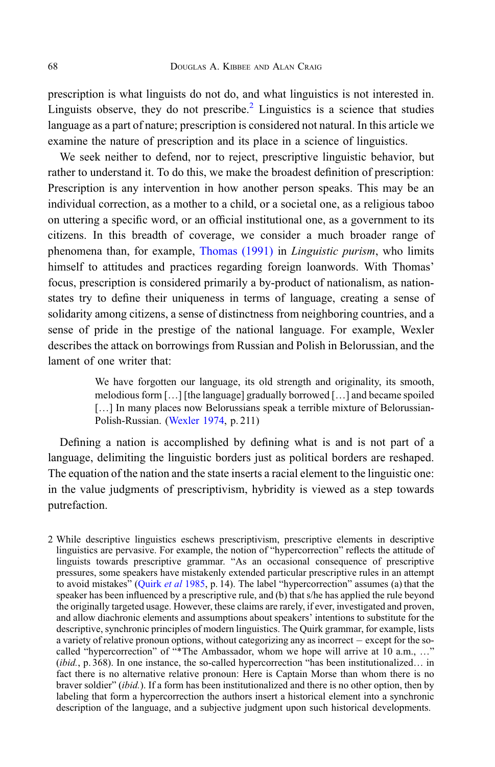prescription is what linguists do not do, and what linguistics is not interested in. Linguists observe, they do not prescribe.<sup>2</sup> Linguistics is a science that studies language as a part of nature; prescription is considered not natural. In this article we examine the nature of prescription and its place in a science of linguistics.

We seek neither to defend, nor to reject, prescriptive linguistic behavior, but rather to understand it. To do this, we make the broadest definition of prescription: Prescription is any intervention in how another person speaks. This may be an individual correction, as a mother to a child, or a societal one, as a religious taboo on uttering a specific word, or an official institutional one, as a government to its citizens. In this breadth of coverage, we consider a much broader range of phenomena than, for example, [Thomas \(1991\)](#page-14-0) in *Linguistic purism*, who limits himself to attitudes and practices regarding foreign loanwords. With Thomas' focus, prescription is considered primarily a by-product of nationalism, as nationstates try to define their uniqueness in terms of language, creating a sense of solidarity among citizens, a sense of distinctness from neighboring countries, and a sense of pride in the prestige of the national language. For example, Wexler describes the attack on borrowings from Russian and Polish in Belorussian, and the lament of one writer that:

> We have forgotten our language, its old strength and originality, its smooth, melodious form […] [the language] gradually borrowed […] and became spoiled [...] In many places now Belorussians speak a terrible mixture of Belorussian-Polish-Russian. ([Wexler 1974](#page-14-0), p. 211)

Defining a nation is accomplished by defining what is and is not part of a language, delimiting the linguistic borders just as political borders are reshaped. The equation of the nation and the state inserts a racial element to the linguistic one: in the value judgments of prescriptivism, hybridity is viewed as a step towards putrefaction.

2 While descriptive linguistics eschews prescriptivism, prescriptive elements in descriptive linguistics are pervasive. For example, the notion of "hypercorrection" reflects the attitude of linguists towards prescriptive grammar. "As an occasional consequence of prescriptive pressures, some speakers have mistakenly extended particular prescriptive rules in an attempt to avoid mistakes" ([Quirk](#page-14-0) et al 1985, p. 14). The label "hypercorrection" assumes (a) that the speaker has been influenced by a prescriptive rule, and (b) that s/he has applied the rule beyond the originally targeted usage. However, these claims are rarely, if ever, investigated and proven, and allow diachronic elements and assumptions about speakers' intentions to substitute for the descriptive, synchronic principles of modern linguistics. The Quirk grammar, for example, lists a variety of relative pronoun options, without categorizing any as incorrect  $-$  except for the socalled "hypercorrection" of "\*The Ambassador, whom we hope will arrive at 10 a.m., ..." (ibid., p. 368). In one instance, the so-called hypercorrection "has been institutionalized... in fact there is no alternative relative pronoun: Here is Captain Morse than whom there is no braver soldier" (ibid.). If a form has been institutionalized and there is no other option, then by labeling that form a hypercorrection the authors insert a historical element into a synchronic description of the language, and a subjective judgment upon such historical developments.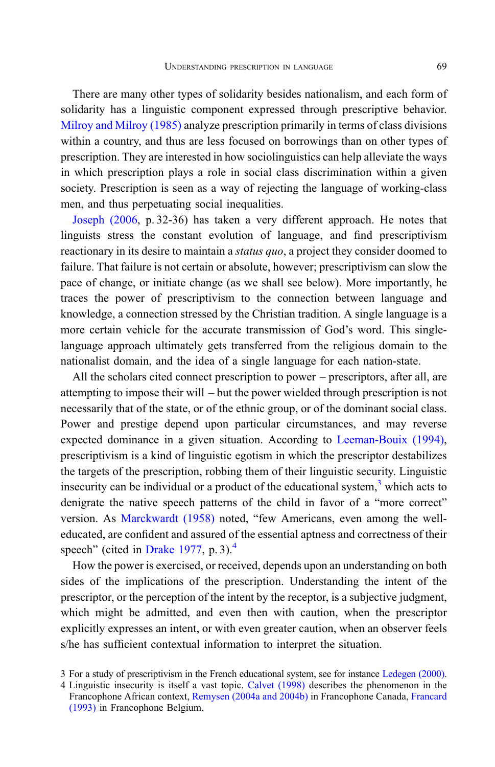There are many other types of solidarity besides nationalism, and each form of solidarity has a linguistic component expressed through prescriptive behavior. [Milroy and Milroy \(1985\)](#page-14-0) analyze prescription primarily in terms of class divisions within a country, and thus are less focused on borrowings than on other types of prescription. They are interested in how sociolinguistics can help alleviate the ways in which prescription plays a role in social class discrimination within a given society. Prescription is seen as a way of rejecting the language of working-class men, and thus perpetuating social inequalities.

[Joseph \(2006](#page-13-0), p. 32-36) has taken a very different approach. He notes that linguists stress the constant evolution of language, and find prescriptivism reactionary in its desire to maintain a *status quo*, a project they consider doomed to failure. That failure is not certain or absolute, however; prescriptivism can slow the pace of change, or initiate change (as we shall see below). More importantly, he traces the power of prescriptivism to the connection between language and knowledge, a connection stressed by the Christian tradition. A single language is a more certain vehicle for the accurate transmission of God's word. This singlelanguage approach ultimately gets transferred from the religious domain to the nationalist domain, and the idea of a single language for each nation-state.

All the scholars cited connect prescription to power – prescriptors, after all, are attempting to impose their will – but the power wielded through prescription is not necessarily that of the state, or of the ethnic group, or of the dominant social class. Power and prestige depend upon particular circumstances, and may reverse expected dominance in a given situation. According to [Leeman-Bouix \(1994\)](#page-14-0), prescriptivism is a kind of linguistic egotism in which the prescriptor destabilizes the targets of the prescription, robbing them of their linguistic security. Linguistic insecurity can be individual or a product of the educational system, $3$  which acts to denigrate the native speech patterns of the child in favor of a "more correct" version. As [Marckwardt \(1958\)](#page-14-0) noted, "few Americans, even among the welleducated, are confident and assured of the essential aptness and correctness of their speech" (cited in [Drake 1977](#page-13-0), p. 3). $<sup>4</sup>$ </sup>

How the power is exercised, or received, depends upon an understanding on both sides of the implications of the prescription. Understanding the intent of the prescriptor, or the perception of the intent by the receptor, is a subjective judgment, which might be admitted, and even then with caution, when the prescriptor explicitly expresses an intent, or with even greater caution, when an observer feels s/he has sufficient contextual information to interpret the situation.

3 For a study of prescriptivism in the French educational system, see for instance [Ledegen \(2000\).](#page-14-0)

<sup>4</sup> Linguistic insecurity is itself a vast topic. [Calvet \(1998\)](#page-13-0) describes the phenomenon in the Francophone African context, [Remysen \(2004a and 2004b\)](#page-14-0) in Francophone Canada, [Francard](#page-13-0) [\(1993\)](#page-13-0) in Francophone Belgium.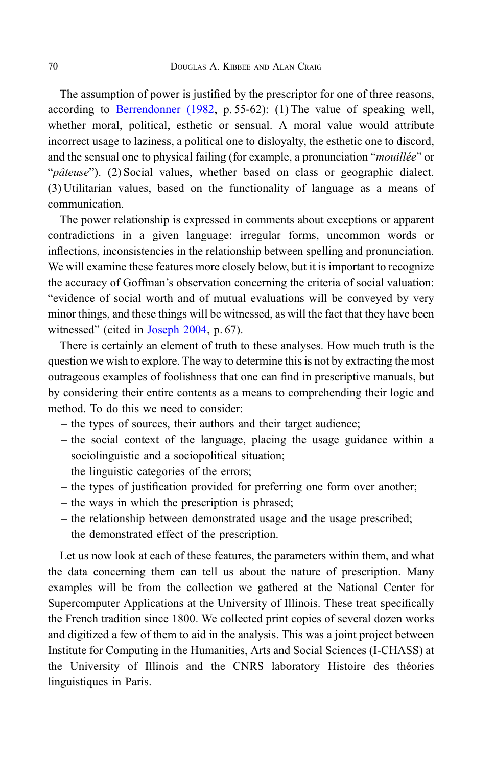The assumption of power is justified by the prescriptor for one of three reasons, according to [Berrendonner \(1982](#page-13-0), p. 55-62): (1) The value of speaking well, whether moral, political, esthetic or sensual. A moral value would attribute incorrect usage to laziness, a political one to disloyalty, the esthetic one to discord, and the sensual one to physical failing (for example, a pronunciation "*mouillée*" or "*pâteuse*"). (2) Social values, whether based on class or geographic dialect. (3) Utilitarian values, based on the functionality of language as a means of communication.

The power relationship is expressed in comments about exceptions or apparent contradictions in a given language: irregular forms, uncommon words or inflections, inconsistencies in the relationship between spelling and pronunciation. We will examine these features more closely below, but it is important to recognize the accuracy of Goffman's observation concerning the criteria of social valuation: "evidence of social worth and of mutual evaluations will be conveyed by very minor things, and these things will be witnessed, as will the fact that they have been witnessed" (cited in [Joseph 2004,](#page-13-0) p. 67).

There is certainly an element of truth to these analyses. How much truth is the question we wish to explore. The way to determine this is not by extracting the most outrageous examples of foolishness that one can find in prescriptive manuals, but by considering their entire contents as a means to comprehending their logic and method. To do this we need to consider:

- the types of sources, their authors and their target audience;
- the social context of the language, placing the usage guidance within a sociolinguistic and a sociopolitical situation;
- the linguistic categories of the errors;
- the types of justification provided for preferring one form over another;
- the ways in which the prescription is phrased;
- the relationship between demonstrated usage and the usage prescribed;
- the demonstrated effect of the prescription.

Let us now look at each of these features, the parameters within them, and what the data concerning them can tell us about the nature of prescription. Many examples will be from the collection we gathered at the National Center for Supercomputer Applications at the University of Illinois. These treat specifically the French tradition since 1800. We collected print copies of several dozen works and digitized a few of them to aid in the analysis. This was a joint project between Institute for Computing in the Humanities, Arts and Social Sciences (I-CHASS) at the University of Illinois and the CNRS laboratory Histoire des théories linguistiques in Paris.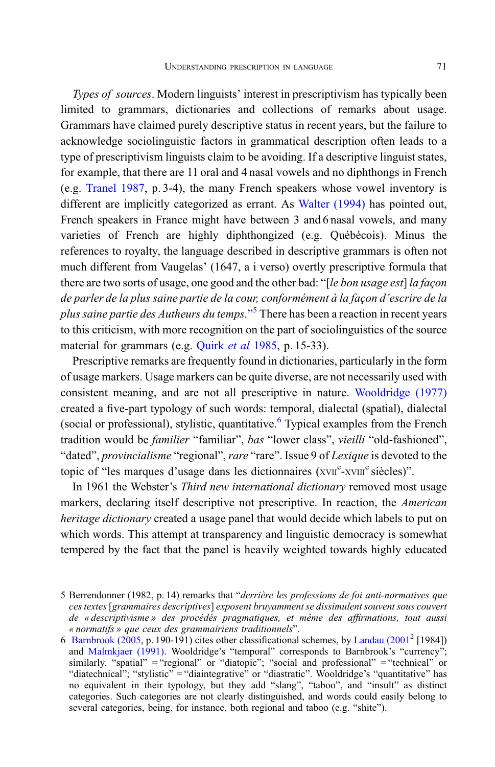Types of sources. Modern linguists' interest in prescriptivism has typically been limited to grammars, dictionaries and collections of remarks about usage. Grammars have claimed purely descriptive status in recent years, but the failure to acknowledge sociolinguistic factors in grammatical description often leads to a type of prescriptivism linguists claim to be avoiding. If a descriptive linguist states, for example, that there are 11 oral and 4 nasal vowels and no diphthongs in French (e.g. [Tranel 1987](#page-14-0), p. 3-4), the many French speakers whose vowel inventory is different are implicitly categorized as errant. As [Walter \(1994\)](#page-14-0) has pointed out, French speakers in France might have between 3 and 6 nasal vowels, and many varieties of French are highly diphthongized (e.g. Québécois). Minus the references to royalty, the language described in descriptive grammars is often not much different from Vaugelas' (1647, a i verso) overtly prescriptive formula that there are two sorts of usage, one good and the other bad: "[le bon usage est] la facon de parler de la plus saine partie de la cour, conformément à la façon d'escrire de la plus saine partie des Autheurs du temps."<sup>5</sup> There has been a reaction in recent years to this criticism, with more recognition on the part of sociolinguistics of the source material for grammars (e.g. [Quirk](#page-14-0) *et al* 1985, p. 15-33).

Prescriptive remarks are frequently found in dictionaries, particularly in the form of usage markers. Usage markers can be quite diverse, are not necessarily used with consistent meaning, and are not all prescriptive in nature. [Wooldridge \(1977\)](#page-14-0) created a five-part typology of such words: temporal, dialectal (spatial), dialectal (social or professional), stylistic, quantitative. $6$  Typical examples from the French tradition would be familier "familiar", bas "lower class", vieilli "old-fashioned", "dated", provincialisme "regional", rare "rare". Issue 9 of Lexique is devoted to the topic of "les marques d'usage dans les dictionnaires (xvIIe-xvIIIe siècles)".

In 1961 the Webster's Third new international dictionary removed most usage markers, declaring itself descriptive not prescriptive. In reaction, the American heritage dictionary created a usage panel that would decide which labels to put on which words. This attempt at transparency and linguistic democracy is somewhat tempered by the fact that the panel is heavily weighted towards highly educated

<sup>5</sup> Berrendonner (1982, p. 14) remarks that "derrière les professions de foi anti-normatives que ces textes[grammaires descriptives] exposent bruyamment se dissimulent souvent sous couvert de « descriptivisme » des procédés pragmatiques, et même des affirmations, tout aussi « normatifs » que ceux des grammairiens traditionnels".

<sup>6</sup> [Barnbrook \(2005](#page-13-0), p. 190-191) cites other classificational schemes, by [Landau \(2001](#page-14-0)<sup>2</sup> [1984]) and [Malmkjaer \(1991\).](#page-14-0) Wooldridge's "temporal" corresponds to Barnbrook's "currency"; similarly, "spatial" = "regional" or "diatopic"; "social and professional" = "technical" or "diatechnical"; "stylistic" = "diaintegrative" or "diastratic". Wooldridge's "quantitative" has no equivalent in their typology, but they add "slang", "taboo", and "insult" as distinct categories. Such categories are not clearly distinguished, and words could easily belong to several categories, being, for instance, both regional and taboo (e.g. "shite").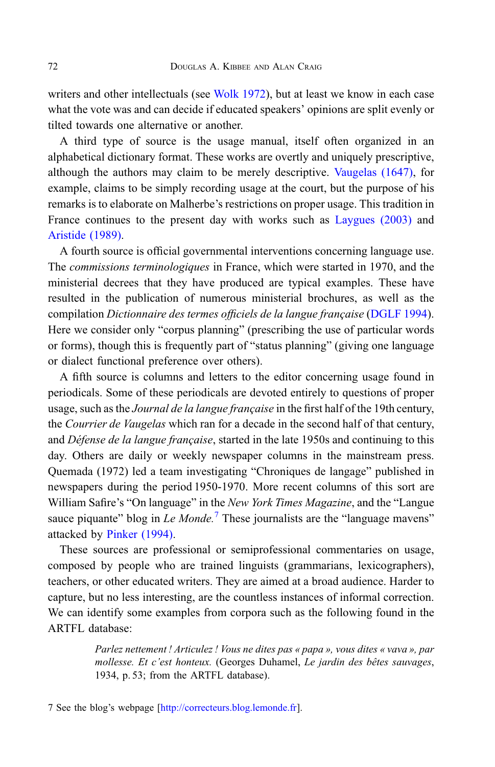writers and other intellectuals (see [Wolk 1972\)](#page-14-0), but at least we know in each case what the vote was and can decide if educated speakers' opinions are split evenly or tilted towards one alternative or another.

A third type of source is the usage manual, itself often organized in an alphabetical dictionary format. These works are overtly and uniquely prescriptive, although the authors may claim to be merely descriptive. [Vaugelas \(1647\),](#page-13-0) for example, claims to be simply recording usage at the court, but the purpose of his remarks is to elaborate on Malherbe's restrictions on proper usage. This tradition in France continues to the present day with works such as [Laygues \(2003\)](#page-13-0) and [Aristide \(1989\).](#page-12-0)

A fourth source is official governmental interventions concerning language use. The commissions terminologiques in France, which were started in 1970, and the ministerial decrees that they have produced are typical examples. These have resulted in the publication of numerous ministerial brochures, as well as the compilation Dictionnaire des termes officiels de la langue française ([DGLF 1994](#page-13-0)). Here we consider only "corpus planning" (prescribing the use of particular words or forms), though this is frequently part of "status planning" (giving one language or dialect functional preference over others).

A fifth source is columns and letters to the editor concerning usage found in periodicals. Some of these periodicals are devoted entirely to questions of proper usage, such as the *Journal de la langue française* in the first half of the 19th century, the Courrier de Vaugelas which ran for a decade in the second half of that century, and Défense de la langue française, started in the late 1950s and continuing to this day. Others are daily or weekly newspaper columns in the mainstream press. Quemada (1972) led a team investigating "Chroniques de langage" published in newspapers during the period 1950-1970. More recent columns of this sort are William Safire's "On language" in the New York Times Magazine, and the "Langue" sauce piquante" blog in Le Monde.<sup>7</sup> These journalists are the "language mavens" attacked by [Pinker \(1994\)](#page-14-0).

These sources are professional or semiprofessional commentaries on usage, composed by people who are trained linguists (grammarians, lexicographers), teachers, or other educated writers. They are aimed at a broad audience. Harder to capture, but no less interesting, are the countless instances of informal correction. We can identify some examples from corpora such as the following found in the ARTFL database:

> Parlez nettement ! Articulez ! Vous ne dites pas « papa », vous dites « vava », par mollesse. Et c'est honteux. (Georges Duhamel, Le jardin des bêtes sauvages, 1934, p. 53; from the ARTFL database).

7 See the blog's webpage [<http://correcteurs.blog.lemonde.fr>].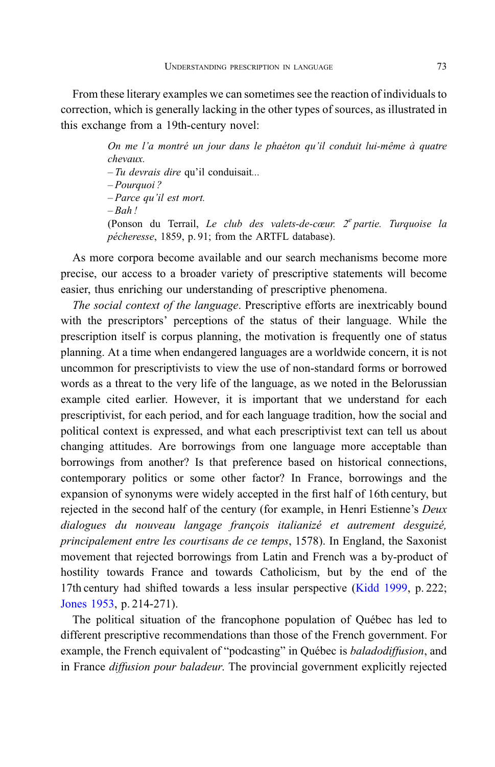From these literary examples we can sometimes see the reaction of individuals to correction, which is generally lacking in the other types of sources, as illustrated in this exchange from a 19th-century novel:

> On me l'a montré un jour dans le phaéton qu'il conduit lui-même à quatre chevaux.  $-Tu$  devrais dire qu'il conduisait... – Pourquoi ? – Parce qu'il est mort.  $–$  Rah ! (Ponson du Terrail, Le club des valets-de-cœur.  $2^e$  partie. Turquoise la pécheresse, 1859, p. 91; from the ARTFL database).

As more corpora become available and our search mechanisms become more precise, our access to a broader variety of prescriptive statements will become easier, thus enriching our understanding of prescriptive phenomena.

The social context of the language. Prescriptive efforts are inextricably bound with the prescriptors' perceptions of the status of their language. While the prescription itself is corpus planning, the motivation is frequently one of status planning. At a time when endangered languages are a worldwide concern, it is not uncommon for prescriptivists to view the use of non-standard forms or borrowed words as a threat to the very life of the language, as we noted in the Belorussian example cited earlier. However, it is important that we understand for each prescriptivist, for each period, and for each language tradition, how the social and political context is expressed, and what each prescriptivist text can tell us about changing attitudes. Are borrowings from one language more acceptable than borrowings from another? Is that preference based on historical connections, contemporary politics or some other factor? In France, borrowings and the expansion of synonyms were widely accepted in the first half of 16th century, but rejected in the second half of the century (for example, in Henri Estienne's Deux dialogues du nouveau langage françois italianizé et autrement desguizé, principalement entre les courtisans de ce temps, 1578). In England, the Saxonist movement that rejected borrowings from Latin and French was a by-product of hostility towards France and towards Catholicism, but by the end of the 17th century had shifted towards a less insular perspective ([Kidd 1999,](#page-13-0) p. 222; [Jones 1953,](#page-13-0) p. 214-271).

The political situation of the francophone population of Québec has led to different prescriptive recommendations than those of the French government. For example, the French equivalent of "podcasting" in Québec is *baladodiffusion*, and in France diffusion pour baladeur. The provincial government explicitly rejected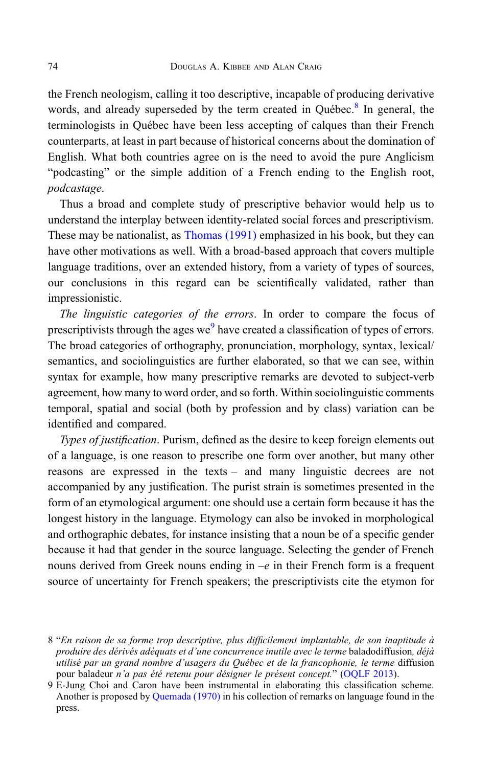the French neologism, calling it too descriptive, incapable of producing derivative words, and already superseded by the term created in Québec. $8$  In general, the terminologists in Québec have been less accepting of calques than their French counterparts, at least in part because of historical concerns about the domination of English. What both countries agree on is the need to avoid the pure Anglicism "podcasting" or the simple addition of a French ending to the English root, podcastage.

Thus a broad and complete study of prescriptive behavior would help us to understand the interplay between identity-related social forces and prescriptivism. These may be nationalist, as [Thomas \(1991\)](#page-14-0) emphasized in his book, but they can have other motivations as well. With a broad-based approach that covers multiple language traditions, over an extended history, from a variety of types of sources, our conclusions in this regard can be scientifically validated, rather than impressionistic.

The linguistic categories of the errors. In order to compare the focus of prescriptivists through the ages we<sup>9</sup> have created a classification of types of errors. The broad categories of orthography, pronunciation, morphology, syntax, lexical/ semantics, and sociolinguistics are further elaborated, so that we can see, within syntax for example, how many prescriptive remarks are devoted to subject-verb agreement, how many to word order, and so forth. Within sociolinguistic comments temporal, spatial and social (both by profession and by class) variation can be identified and compared.

Types of justification. Purism, defined as the desire to keep foreign elements out of a language, is one reason to prescribe one form over another, but many other reasons are expressed in the texts – and many linguistic decrees are not accompanied by any justification. The purist strain is sometimes presented in the form of an etymological argument: one should use a certain form because it has the longest history in the language. Etymology can also be invoked in morphological and orthographic debates, for instance insisting that a noun be of a specific gender because it had that gender in the source language. Selecting the gender of French nouns derived from Greek nouns ending in  $-e$  in their French form is a frequent source of uncertainty for French speakers; the prescriptivists cite the etymon for

<sup>8</sup> "En raison de sa forme trop descriptive, plus difficilement implantable, de son inaptitude à produire des dérivés adéquats et d'une concurrence inutile avec le terme baladodiffusion, déjà utilisé par un grand nombre d'usagers du Québec et de la francophonie, le terme diffusion pour baladeur n'a pas été retenu pour désigner le présent concept." [\(OQLF 2013](#page-13-0)).

<sup>9</sup> E-Jung Choi and Caron have been instrumental in elaborating this classification scheme. Another is proposed by [Quemada \(1970\)](#page-14-0) in his collection of remarks on language found in the press.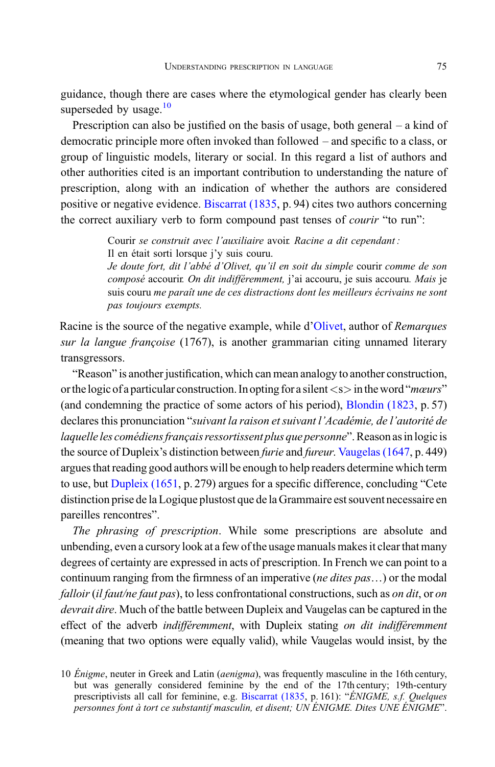guidance, though there are cases where the etymological gender has clearly been superseded by usage.<sup>10</sup>

Prescription can also be justified on the basis of usage, both general – a kind of democratic principle more often invoked than followed – and specific to a class, or group of linguistic models, literary or social. In this regard a list of authors and other authorities cited is an important contribution to understanding the nature of prescription, along with an indication of whether the authors are considered positive or negative evidence. [Biscarrat \(1835,](#page-12-0) p. 94) cites two authors concerning the correct auxiliary verb to form compound past tenses of *courir* "to run":

> Courir se construit avec l'auxiliaire avoir. Racine a dit cependant : Il en était sorti lorsque j'y suis couru.

Je doute fort, dit l'abbé d'Olivet, qu'il en soit du simple courir comme de son composé accourir. On dit indifféremment, j'ai accouru, je suis accouru. Mais je suis couru me paraît une de ces distractions dont les meilleurs écrivains ne sont pas toujours exempts.

Racine is the source of the negative example, while d'[Olivet,](#page-13-0) author of Remarques sur la langue françoise (1767), is another grammarian citing unnamed literary transgressors.

"Reason" is another justification, which can mean analogy to another construction, or the logic of a particular construction. In opting for a silent  $\langle s \rangle$  in the word "*mœurs*" (and condemning the practice of some actors of his period), [Blondin \(1823,](#page-12-0) p. 57) declares this pronunciation "suivant la raison et suivant l'Académie, de l'autorité de laquelle les comédiens français ressortissent plus que personne". Reason as in logic is the source of Dupleix's distinction between furie and fureur. [Vaugelas \(1647,](#page-13-0) p. 449) argues that reading good authors will be enough to help readers determine which term to use, but [Dupleix \(1651](#page-13-0), p. 279) argues for a specific difference, concluding "Cete distinction prise de la Logique plustost que de la Grammaire est souvent necessaire en pareilles rencontres".

The phrasing of prescription. While some prescriptions are absolute and unbending, even a cursory look at a few of the usage manuals makes it clear that many degrees of certainty are expressed in acts of prescription. In French we can point to a continuum ranging from the firmness of an imperative (*ne dites pas...*) or the modal falloir (il faut/ne faut pas), to less confrontational constructions, such as on dit, or on devrait dire. Much of the battle between Dupleix and Vaugelas can be captured in the effect of the adverb *indifféremment*, with Dupleix stating on dit indifféremment (meaning that two options were equally valid), while Vaugelas would insist, by the

<sup>10</sup> Énigme, neuter in Greek and Latin (*aenigma*), was frequently masculine in the 16th century, but was generally considered feminine by the end of the 17th century; 19th-century prescriptivists all call for feminine, e.g. [Biscarrat \(1835,](#page-12-0) p. 161): "ÉNIGME, s.f. Quelques personnes font à tort ce substantif masculin, et disent; UN ÉNIGME. Dites UNE ÉNIGME".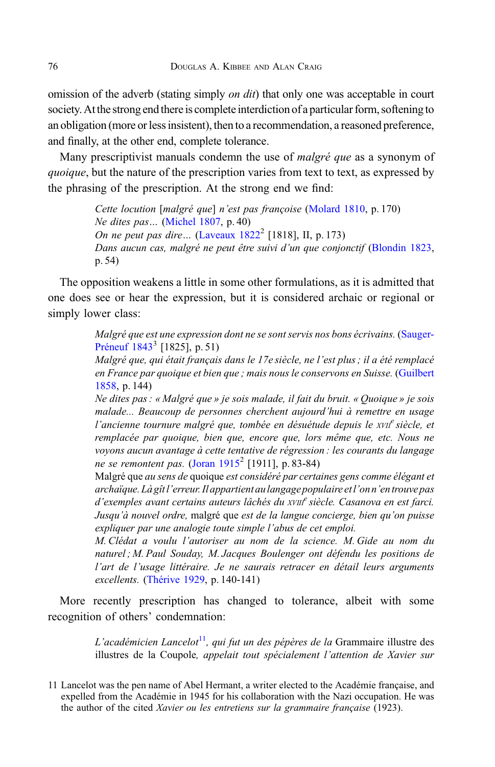omission of the adverb (stating simply *on dit*) that only one was acceptable in court society. At the strong end there is complete interdiction of a particular form, softening to an obligation (more or less insistent), then to a recommendation, a reasoned preference, and finally, at the other end, complete tolerance.

Many prescriptivist manuals condemn the use of *malgré que* as a synonym of quoique, but the nature of the prescription varies from text to text, as expressed by the phrasing of the prescription. At the strong end we find:

> Cette locution [malgré que] n'est pas françoise [\(Molard 1810](#page-13-0), p. 170) Ne dites pas… ([Michel 1807,](#page-13-0) p. 40) On ne peut pas dire... (Laveaux  $1822^2$  [1818], II, p. 173) Dans aucun cas, malgré ne peut être suivi d'un que conjonctif [\(Blondin 1823](#page-12-0), p. 54)

The opposition weakens a little in some other formulations, as it is admitted that one does see or hear the expression, but it is considered archaic or regional or simply lower class:

> Malgré que est une expression dont ne se sont servis nos bons écrivains. [\(Sauger-](#page-13-0)Préneuf  $1843^3$  [1825], p. 51)

> Malgré que, qui était français dans le 17e siècle, ne l'est plus ; il a été remplacé en France par quoique et bien que ; mais nous le conservons en Suisse. ([Guilbert](#page-13-0) [1858](#page-13-0), p. 144)

> Ne dites pas : « Malgré que » je sois malade, il fait du bruit. « Quoique » je sois malade... Beaucoup de personnes cherchent aujourd'hui à remettre en usage l'ancienne tournure malgré que, tombée en désuétude depuis le *XVII<sup>e</sup>* siècle, et remplacée par quoique, bien que, encore que, lors même que, etc. Nous ne voyons aucun avantage à cette tentative de régression : les courants du langage ne se remontent pas. (Joran  $1915^2$  [1911], p. 83-84)

> Malgré que au sens de quoique est considéré par certaines gens comme élégant et archaïque. Là gîtl'erreur. Il appartient aulangage populaire etl'on n'entrouve pas d'exemples avant certains auteurs lâchés du xvIII<sup>e</sup> siècle. Casanova en est farci. Jusqu'à nouvel ordre, malgré que est de la langue concierge, bien qu'on puisse expliquer par une analogie toute simple l'abus de cet emploi.

> M. Clédat a voulu l'autoriser au nom de la science. M. Gide au nom du naturel ; M. Paul Souday, M. Jacques Boulenger ont défendu les positions de l'art de l'usage littéraire. Je ne saurais retracer en détail leurs arguments excellents. [\(Thérive 1929,](#page-13-0) p. 140-141)

More recently prescription has changed to tolerance, albeit with some recognition of others' condemnation:

> L'académicien Lancelot<sup>11</sup>, qui fut un des pépères de la Grammaire illustre des illustres de la Coupole, appelait tout spécialement l'attention de Xavier sur

<sup>11</sup> Lancelot was the pen name of Abel Hermant, a writer elected to the Académie française, and expelled from the Académie in 1945 for his collaboration with the Nazi occupation. He was the author of the cited Xavier ou les entretiens sur la grammaire française (1923).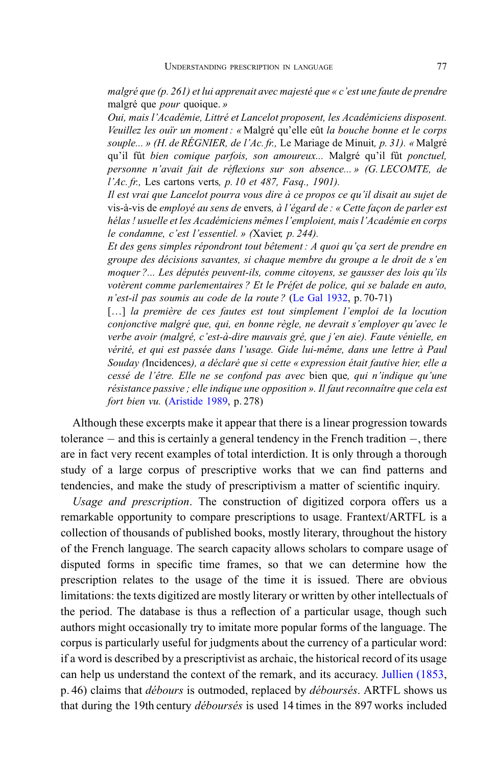malgré que (p. 261) et lui apprenait avec majesté que « c'est une faute de prendre malgré que pour quoique. »

Oui, mais l'Académie, Littré et Lancelot proposent, les Académiciens disposent. Veuillez les ouïr un moment : « Malgré qu'elle eût la bouche bonne et le corps souple... » (H. de RÉGNIER, de l'Ac. fr., Le Mariage de Minuit, p. 31). « Malgré qu'il fût bien comique parfois, son amoureux... Malgré qu'il fût ponctuel, personne n'avait fait de réflexions sur son absence... » (G. LECOMTE, de l'Ac. fr., Les cartons verts, p. 10 et 487, Fasq., 1901).

Il est vrai que Lancelot pourra vous dire à ce propos ce qu'il disait au sujet de vis-à-vis de employé au sens de envers, à l'égard de : « Cette façon de parler est hélas ! usuelle et les Académiciens mêmes l'emploient, mais l'Académie en corps le condamne, c'est l'essentiel. » (Xavier, p. 244).

Et des gens simples répondront tout bêtement : A quoi qu'ça sert de prendre en groupe des décisions savantes, si chaque membre du groupe a le droit de s'en moquer ?... Les députés peuvent-ils, comme citoyens, se gausser des lois qu'ils votèrent comme parlementaires ? Et le Préfet de police, qui se balade en auto, n'est-il pas soumis au code de la route ? ([Le Gal 1932,](#page-13-0) p. 70-71)

[...] la première de ces fautes est tout simplement l'emploi de la locution conjonctive malgré que, qui, en bonne règle, ne devrait s'employer qu'avec le verbe avoir (malgré, c'est-à-dire mauvais gré, que j'en aie). Faute vénielle, en vérité, et qui est passée dans l'usage. Gide lui-même, dans une lettre à Paul Souday (Incidences), a déclaré que si cette « expression était fautive hier, elle a cessé de l'être. Elle ne se confond pas avec bien que, qui n'indique qu'une résistance passive ; elle indique une opposition ». Il faut reconnaître que cela est fort bien vu. ([Aristide 1989](#page-12-0), p. 278)

Although these excerpts make it appear that there is a linear progression towards tolerance  $-$  and this is certainly a general tendency in the French tradition  $-$ , there are in fact very recent examples of total interdiction. It is only through a thorough study of a large corpus of prescriptive works that we can find patterns and tendencies, and make the study of prescriptivism a matter of scientific inquiry.

Usage and prescription. The construction of digitized corpora offers us a remarkable opportunity to compare prescriptions to usage. Frantext/ARTFL is a collection of thousands of published books, mostly literary, throughout the history of the French language. The search capacity allows scholars to compare usage of disputed forms in specific time frames, so that we can determine how the prescription relates to the usage of the time it is issued. There are obvious limitations: the texts digitized are mostly literary or written by other intellectuals of the period. The database is thus a reflection of a particular usage, though such authors might occasionally try to imitate more popular forms of the language. The corpus is particularly useful for judgments about the currency of a particular word: if a word is described by a prescriptivist as archaic, the historical record of its usage can help us understand the context of the remark, and its accuracy. [Jullien \(1853](#page-13-0), p. 46) claims that débours is outmoded, replaced by déboursés. ARTFL shows us that during the 19th century déboursés is used 14 times in the 897 works included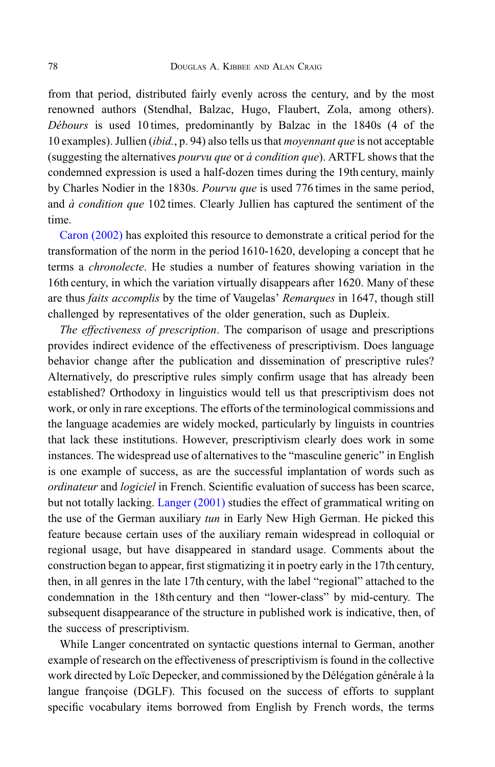from that period, distributed fairly evenly across the century, and by the most renowned authors (Stendhal, Balzac, Hugo, Flaubert, Zola, among others). Débours is used 10 times, predominantly by Balzac in the 1840s (4 of the 10 examples). Jullien (ibid., p. 94) also tells us that moyennant que is not acceptable (suggesting the alternatives *pourvu que* or  $\dot{a}$  *condition que*). ARTFL shows that the condemned expression is used a half-dozen times during the 19th century, mainly by Charles Nodier in the 1830s. Pourvu que is used 776 times in the same period, and  $\dot{a}$  condition que 102 times. Clearly Jullien has captured the sentiment of the time.

[Caron \(2002\)](#page-13-0) has exploited this resource to demonstrate a critical period for the transformation of the norm in the period 1610-1620, developing a concept that he terms a chronolecte. He studies a number of features showing variation in the 16th century, in which the variation virtually disappears after 1620. Many of these are thus *faits accomplis* by the time of Vaugelas' *Remarques* in 1647, though still challenged by representatives of the older generation, such as Dupleix.

The effectiveness of prescription. The comparison of usage and prescriptions provides indirect evidence of the effectiveness of prescriptivism. Does language behavior change after the publication and dissemination of prescriptive rules? Alternatively, do prescriptive rules simply confirm usage that has already been established? Orthodoxy in linguistics would tell us that prescriptivism does not work, or only in rare exceptions. The efforts of the terminological commissions and the language academies are widely mocked, particularly by linguists in countries that lack these institutions. However, prescriptivism clearly does work in some instances. The widespread use of alternatives to the "masculine generic" in English is one example of success, as are the successful implantation of words such as ordinateur and logiciel in French. Scientific evaluation of success has been scarce, but not totally lacking. [Langer \(2001\)](#page-14-0) studies the effect of grammatical writing on the use of the German auxiliary tun in Early New High German. He picked this feature because certain uses of the auxiliary remain widespread in colloquial or regional usage, but have disappeared in standard usage. Comments about the construction began to appear, first stigmatizing it in poetry early in the 17th century, then, in all genres in the late 17th century, with the label "regional" attached to the condemnation in the 18th century and then "lower-class" by mid-century. The subsequent disappearance of the structure in published work is indicative, then, of the success of prescriptivism.

While Langer concentrated on syntactic questions internal to German, another example of research on the effectiveness of prescriptivism is found in the collective work directed by Loïc Depecker, and commissioned by the Délégation générale à la langue françoise (DGLF). This focused on the success of efforts to supplant specific vocabulary items borrowed from English by French words, the terms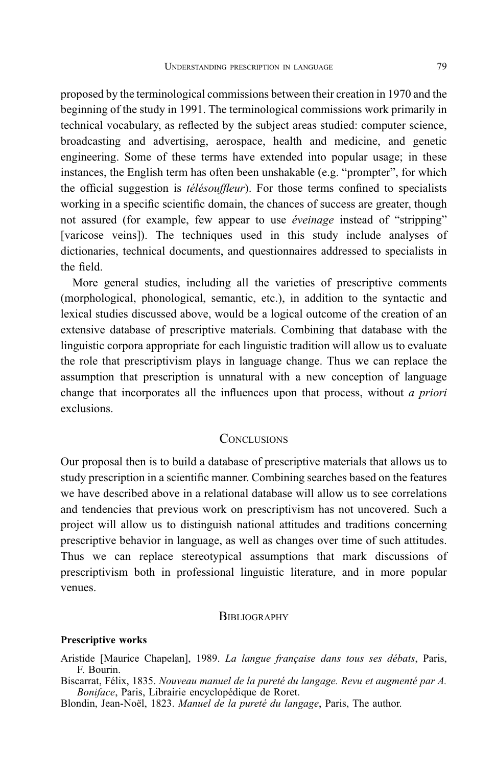<span id="page-12-0"></span>proposed by the terminological commissions between their creation in 1970 and the beginning of the study in 1991. The terminological commissions work primarily in technical vocabulary, as reflected by the subject areas studied: computer science, broadcasting and advertising, aerospace, health and medicine, and genetic engineering. Some of these terms have extended into popular usage; in these instances, the English term has often been unshakable (e.g. "prompter", for which the official suggestion is télésouffleur). For those terms confined to specialists working in a specific scientific domain, the chances of success are greater, though not assured (for example, few appear to use éveinage instead of "stripping" [varicose veins]). The techniques used in this study include analyses of dictionaries, technical documents, and questionnaires addressed to specialists in the field.

More general studies, including all the varieties of prescriptive comments (morphological, phonological, semantic, etc.), in addition to the syntactic and lexical studies discussed above, would be a logical outcome of the creation of an extensive database of prescriptive materials. Combining that database with the linguistic corpora appropriate for each linguistic tradition will allow us to evaluate the role that prescriptivism plays in language change. Thus we can replace the assumption that prescription is unnatural with a new conception of language change that incorporates all the influences upon that process, without a priori exclusions.

### **CONCLUSIONS**

Our proposal then is to build a database of prescriptive materials that allows us to study prescription in a scientific manner. Combining searches based on the features we have described above in a relational database will allow us to see correlations and tendencies that previous work on prescriptivism has not uncovered. Such a project will allow us to distinguish national attitudes and traditions concerning prescriptive behavior in language, as well as changes over time of such attitudes. Thus we can replace stereotypical assumptions that mark discussions of prescriptivism both in professional linguistic literature, and in more popular venues.

#### **BIBLIOGRAPHY**

#### Prescriptive works

- Aristide [Maurice Chapelan], 1989. La langue française dans tous ses débats, Paris, F. Bourin.
- Biscarrat, Félix, 1835. Nouveau manuel de la pureté du langage. Revu et augmenté par A. Boniface, Paris, Librairie encyclopédique de Roret.
- Blondin, Jean-Noël, 1823. Manuel de la pureté du langage, Paris, The author.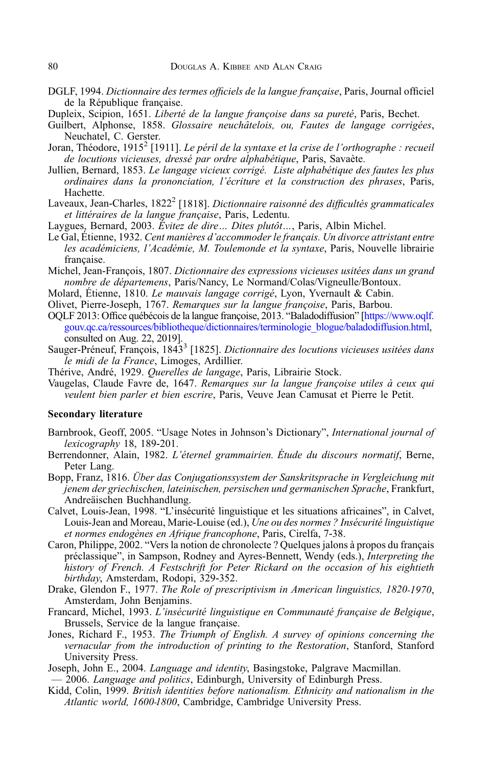- <span id="page-13-0"></span>DGLF, 1994. Dictionnaire des termes officiels de la langue française, Paris, Journal officiel de la République française.
- Dupleix, Scipion, 1651. Liberté de la langue françoise dans sa pureté, Paris, Bechet.
- Guilbert, Alphonse, 1858. Glossaire neuchâtelois, ou, Fautes de langage corrigées, Neuchatel, C. Gerster.
- Joran, Théodore, 1915<sup>2</sup> [1911]. Le péril de la syntaxe et la crise de l'orthographe : recueil de locutions vicieuses, dressé par ordre alphabétique, Paris, Savaète.
- Jullien, Bernard, 1853. Le langage vicieux corrigé. Liste alphabétique des fautes les plus ordinaires dans la prononciation, l'écriture et la construction des phrases, Paris, Hachette.
- Laveaux, Jean-Charles, 1822<sup>2</sup> [1818]. *Dictionnaire raisonné des difficultés grammaticales* et littéraires de la langue française, Paris, Ledentu.
- Laygues, Bernard, 2003. Évitez de dire... Dites plutôt..., Paris, Albin Michel.
- Le Gal, Étienne, 1932. Cent manières d'accommoder le français. Un divorce attristant entre les académiciens, l'Académie, M. Toulemonde et la syntaxe, Paris, Nouvelle librairie française.
- Michel, Jean-François, 1807. Dictionnaire des expressions vicieuses usitées dans un grand nombre de départemens, Paris/Nancy, Le Normand/Colas/Vigneulle/Bontoux.
- Molard, Étienne, 1810. Le mauvais langage corrigé, Lyon, Yvernault & Cabin.
- Olivet, Pierre-Joseph, 1767. Remarques sur la langue françoise, Paris, Barbou.
- OQLF 2013: Office québécois de la langue françoise, 2013. "Baladodiffusion" [\[https://www.oqlf.](https://www.oqlf.gouv.qc.ca/ressources/bibliotheque/dictionnaires/terminologie_blogue/baladodiffusion.html) [gouv.qc.ca/ressources/bibliotheque/dictionnaires/terminologie\\_blogue/baladodiffusion.html](https://www.oqlf.gouv.qc.ca/ressources/bibliotheque/dictionnaires/terminologie_blogue/baladodiffusion.html), consulted on Aug. 22, 2019].
- Sauger-Préneuf, François, 1843<sup>3</sup> [1825]. Dictionnaire des locutions vicieuses usitées dans le midi de la France, Limoges, Ardillier.
- Thérive, André, 1929. Querelles de langage, Paris, Librairie Stock.
- Vaugelas, Claude Favre de, 1647. Remarques sur la langue françoise utiles à ceux qui veulent bien parler et bien escrire, Paris, Veuve Jean Camusat et Pierre le Petit.

#### Secondary literature

- Barnbrook, Geoff, 2005. "Usage Notes in Johnson's Dictionary", International journal of lexicography 18, 189-201.
- Berrendonner, Alain, 1982. L'éternel grammairien. Étude du discours normatif, Berne, Peter Lang.
- Bopp, Franz, 1816. Über das Conjugationssystem der Sanskritsprache in Vergleichung mit jenem der griechischen, lateinischen, persischen und germanischen Sprache, Frankfurt, Andreäischen Buchhandlung.
- Calvet, Louis-Jean, 1998. "L'insécurité linguistique et les situations africaines", in Calvet, Louis-Jean and Moreau, Marie-Louise (ed.), *Une ou des normes ? Insécurité linguistique* et normes endogènes en Afrique francophone, Paris, Cirelfa, 7-38.
- Caron, Philippe, 2002. "Vers la notion de chronolecte ? Quelques jalons à propos du français préclassique", in Sampson, Rodney and Ayres-Bennett, Wendy (eds.), Interpreting the history of French. A Festschrift for Peter Rickard on the occasion of his eightieth birthday, Amsterdam, Rodopi, 329-352.
- Drake, Glendon F., 1977. The Role of prescriptivism in American linguistics, 1820-1970, Amsterdam, John Benjamins.
- Francard, Michel, 1993. L'insécurité linguistique en Communauté française de Belgique, Brussels, Service de la langue française.
- Jones, Richard F., 1953. The Triumph of English. A survey of opinions concerning the vernacular from the introduction of printing to the Restoration, Stanford, Stanford University Press.
- Joseph, John E., 2004. *Language and identity*, Basingstoke, Palgrave Macmillan.
- 2006. Language and politics, Edinburgh, University of Edinburgh Press.
- Kidd, Colin, 1999. British identities before nationalism. Ethnicity and nationalism in the Atlantic world, 1600-1800, Cambridge, Cambridge University Press.